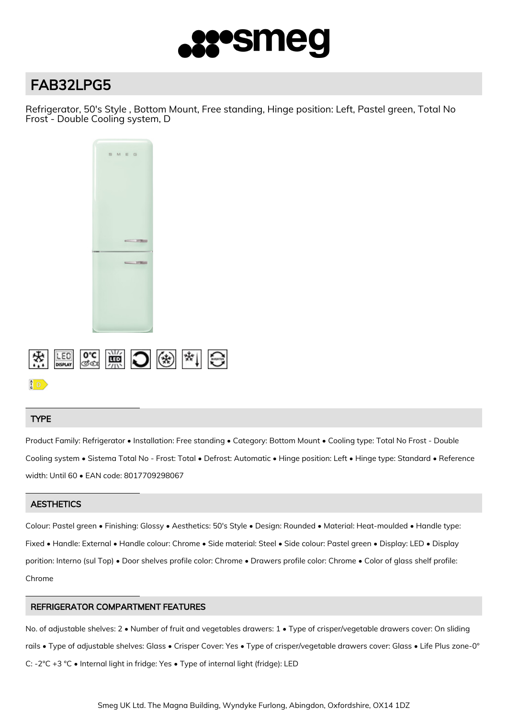

# FAB32LPG5

Refrigerator, 50's Style , Bottom Mount, Free standing, Hinge position: Left, Pastel green, Total No Frost - Double Cooling system, D



# TYPE

Product Family: Refrigerator • Installation: Free standing • Category: Bottom Mount • Cooling type: Total No Frost - Double Cooling system • Sistema Total No - Frost: Total • Defrost: Automatic • Hinge position: Left • Hinge type: Standard • Reference width: Until 60 • EAN code: 8017709298067

# **AESTHETICS**

Colour: Pastel green • Finishing: Glossy • Aesthetics: 50's Style • Design: Rounded • Material: Heat-moulded • Handle type: Fixed • Handle: External • Handle colour: Chrome • Side material: Steel • Side colour: Pastel green • Display: LED • Display porition: Interno (sul Top) • Door shelves profile color: Chrome • Drawers profile color: Chrome • Color of glass shelf profile: Chrome

# REFRIGERATOR COMPARTMENT FEATURES

No. of adjustable shelves: 2 • Number of fruit and vegetables drawers: 1 • Type of crisper/vegetable drawers cover: On sliding rails • Type of adjustable shelves: Glass • Crisper Cover: Yes • Type of crisper/vegetable drawers cover: Glass • Life Plus zone-0° C: -2°C +3 °C • Internal light in fridge: Yes • Type of internal light (fridge): LED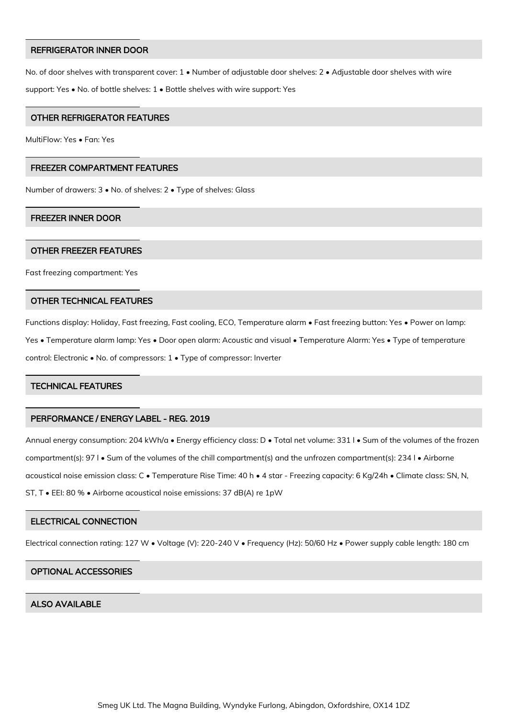#### REFRIGERATOR INNER DOOR

No. of door shelves with transparent cover: 1 • Number of adjustable door shelves: 2 • Adjustable door shelves with wire support: Yes • No. of bottle shelves: 1 • Bottle shelves with wire support: Yes

## OTHER REFRIGERATOR FEATURES

MultiFlow: Yes • Fan: Yes

## FREEZER COMPARTMENT FEATURES

Number of drawers: 3 • No. of shelves: 2 • Type of shelves: Glass

#### FREEZER INNER DOOR

#### OTHER FREEZER FEATURES

Fast freezing compartment: Yes

#### OTHER TECHNICAL FEATURES

Functions display: Holiday, Fast freezing, Fast cooling, ECO, Temperature alarm • Fast freezing button: Yes • Power on lamp: Yes • Temperature alarm lamp: Yes • Door open alarm: Acoustic and visual • Temperature Alarm: Yes • Type of temperature control: Electronic • No. of compressors: 1 • Type of compressor: Inverter

## TECHNICAL FEATURES

## PERFORMANCE / ENERGY LABEL - REG. 2019

Annual energy consumption: 204 kWh/a • Energy efficiency class: D • Total net volume: 331 l • Sum of the volumes of the frozen compartment(s): 97 l • Sum of the volumes of the chill compartment(s) and the unfrozen compartment(s): 234 l • Airborne acoustical noise emission class: C • Temperature Rise Time: 40 h • 4 star - Freezing capacity: 6 Kg/24h • Climate class: SN, N, ST, T • EEI: 80 % • Airborne acoustical noise emissions: 37 dB(A) re 1pW

## ELECTRICAL CONNECTION

Electrical connection rating: 127 W • Voltage (V): 220-240 V • Frequency (Hz): 50/60 Hz • Power supply cable length: 180 cm

#### OPTIONAL ACCESSORIES

## ALSO AVAILABLE